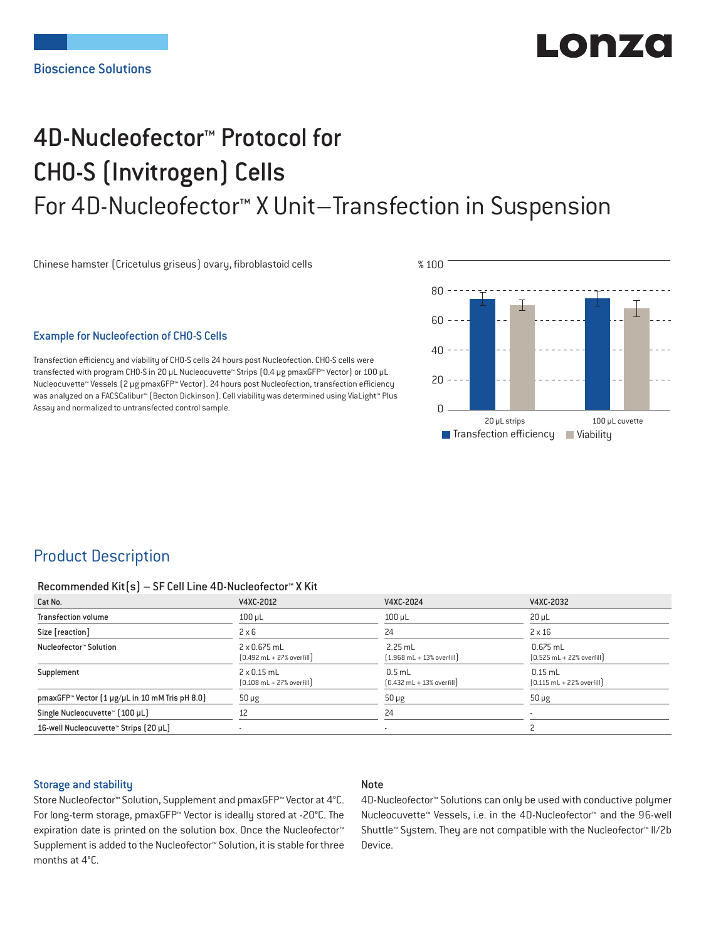# ILOI 074

## 4D-Nucleofector™ Protocol for CHO-S (Invitrogen) Cells For 4D-Nucleofector™ X Unit–Transfection in Suspension

Chinese hamster (Cricetulus griseus) ovary, fibroblastoid cells

#### Example for Nucleofection of CHO-S Cells

Transfection efficiency and viability of CHO-S cells 24 hours post Nucleofection. CHO-S cells were transfected with program CHO-S in 20 μL Nucleocuvette™ Strips (0.4 μg pmaxGFP™ Vector) or 100 μL Nucleocuvette™ Vessels (2 μg pmaxGFP™ Vector). 24 hours post Nucleofection, transfection efficiency was analyzed on a FACSCalibur™ (Becton Dickinson). Cell viability was determined using ViaLight™ Plus Assay and normalized to untransfected control sample.



## Product Description

#### Recommended Kit(s) – SF Cell Line 4D-Nucleofector™ X Kit

| Cat No.                                                    | V4XC-2012                                                          | V4XC-2024                                                 | V4XC-2032                                                  |
|------------------------------------------------------------|--------------------------------------------------------------------|-----------------------------------------------------------|------------------------------------------------------------|
| <b>Transfection volume</b>                                 | $100$ $\mu$ L                                                      | $100$ $\mu$ L                                             | $20 \mu L$                                                 |
| Size [reaction]                                            | $2 \times 6$                                                       | 24                                                        | $2 \times 16$                                              |
| Nucleofector™ Solution                                     | 2 x 0.675 mL<br>$[0.492 \text{ mL} + 27\% \text{ overfill}]$       | $2.25$ mL<br>$[1.968 \text{ mL} + 13\% \text{ overfill}]$ | $0.675$ mL<br>$[0.525 \text{ mL} + 22\% \text{ overfill}]$ |
| Supplement                                                 | $2 \times 0.15$ mL<br>$[0.108 \text{ mL} + 27\% \text{ overfill}]$ | $0.5$ mL<br>$[0.432 \text{ mL} + 13\% \text{ overfill}]$  | $0.15$ mL<br>$[0.115 \text{ mL} + 22\% \text{ overfill}]$  |
| pmaxGFP <sup>™</sup> Vector [1 µg/µL in 10 mM Tris pH 8.0] | $50 \mu g$                                                         | $50 \mu g$                                                | $50 \mu g$                                                 |
| Single Nucleocuvette™ [100 µL]                             | 12                                                                 | 24                                                        |                                                            |
| 16-well Nucleocuvette™ Strips (20 µL)                      |                                                                    | $\overline{\phantom{a}}$                                  |                                                            |

#### Storage and stability

## Note

Store Nucleofector™ Solution, Supplement and pmaxGFP™ Vector at 4°C. For long-term storage, pmaxGFP™ Vector is ideally stored at -20°C. The expiration date is printed on the solution box. Once the Nucleofector™ Supplement is added to the Nucleofector™ Solution, it is stable for three months at 4°C.

4D-Nucleofector™ Solutions can only be used with conductive polymer Nucleocuvette™ Vessels, i.e. in the 4D-Nucleofector™ and the 96-well Shuttle™ System. They are not compatible with the Nucleofector™ II/2b Device.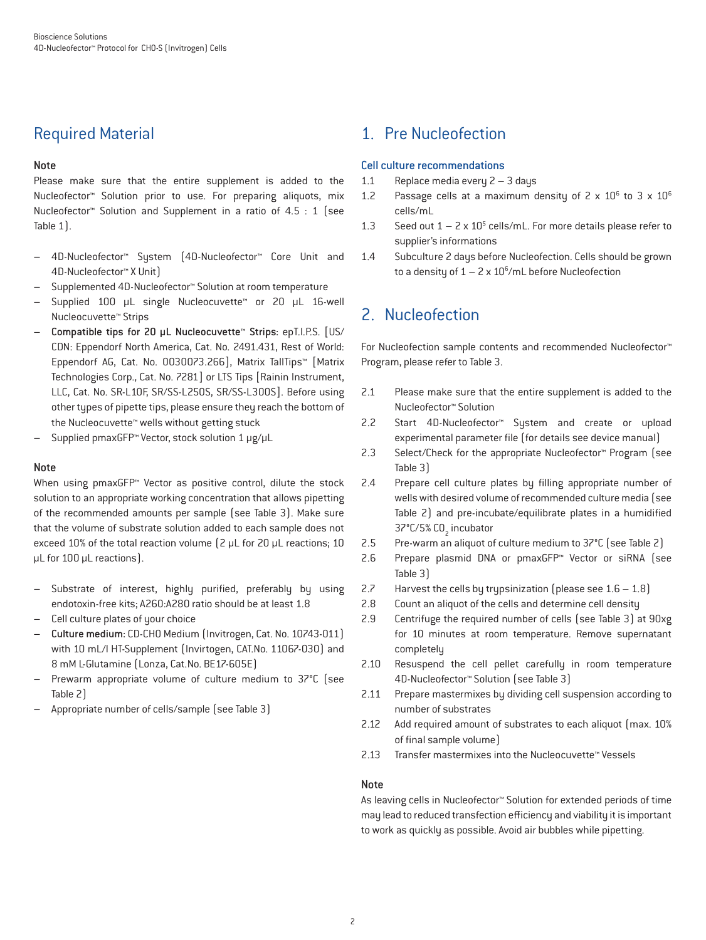## Required Material

## Note

Please make sure that the entire supplement is added to the Nucleofector™ Solution prior to use. For preparing aliquots, mix Nucleofector™ Solution and Supplement in a ratio of 4.5 : 1 (see Table 1).

- 4D-Nucleofector™ System (4D-Nucleofector™ Core Unit and 4D-Nucleofector™ X Unit)
- Supplemented 4D-Nucleofector™ Solution at room temperature
- Supplied 100 μL single Nucleocuvette™ or 20 μL 16-well Nucleocuvette™ Strips
- Compatible tips for 20 μL Nucleocuvette™ Strips: epT.I.P.S. [US/ CDN: Eppendorf North America, Cat. No. 2491.431, Rest of World: Eppendorf AG, Cat. No. 0030073.266], Matrix TallTips™ [Matrix Technologies Corp., Cat. No. 7281] or LTS Tips [Rainin Instrument, LLC, Cat. No. SR-L10F, SR/SS-L250S, SR/SS-L300S]. Before using other types of pipette tips, please ensure they reach the bottom of the Nucleocuvette™ wells without getting stuck
- Supplied pmaxGFP™ Vector, stock solution 1 μg/μL

## Note

When using pmaxGFP™ Vector as positive control, dilute the stock solution to an appropriate working concentration that allows pipetting of the recommended amounts per sample (see Table 3). Make sure that the volume of substrate solution added to each sample does not exceed 10% of the total reaction volume (2 μL for 20 μL reactions; 10 μL for 100 μL reactions).

- Substrate of interest, highly purified, preferably by using endotoxin-free kits; A260:A280 ratio should be at least 1.8
- Cell culture plates of your choice
- Culture medium: CD-CHO Medium (Invitrogen, Cat. No. 10743-011) with 10 mL/l HT-Supplement (Invirtogen, CAT.No. 11067-030) and 8 mM L-Glutamine (Lonza, Cat.No. BE17-605E)
- Prewarm appropriate volume of culture medium to 37°C (see Table 2)
- Appropriate number of cells/sample (see Table 3)

## 1. Pre Nucleofection

## Cell culture recommendations

- 1.1 Replace media every 2 3 days
- 1.2 Passage cells at a maximum density of  $2 \times 10^6$  to  $3 \times 10^6$ cells/mL
- 1.3 Seed out  $1 2 \times 10^5$  cells/mL. For more details please refer to supplier's informations
- 1.4 Subculture 2 days before Nucleofection. Cells should be grown to a density of  $1 - 2 \times 10^6$ /mL before Nucleofection

## 2. Nucleofection

For Nucleofection sample contents and recommended Nucleofector™ Program, please refer to Table 3.

- 2.1 Please make sure that the entire supplement is added to the Nucleofector™ Solution
- 2.2 Start 4D-Nucleofector™ System and create or upload experimental parameter file (for details see device manual)
- 2.3 Select/Check for the appropriate Nucleofector™ Program (see Table 3)
- 2.4 Prepare cell culture plates by filling appropriate number of wells with desired volume of recommended culture media (see Table 2) and pre-incubate/equilibrate plates in a humidified 37°C/5% CO<sub>2</sub> incubator
- 2.5 Pre-warm an aliquot of culture medium to 37°C (see Table 2)
- 2.6 Prepare plasmid DNA or pmaxGFP™ Vector or siRNA (see Table 3)
- 2.7 Harvest the cells by trypsinization (please see  $1.6 1.8$ )
- 2.8 Count an aliquot of the cells and determine cell density
- 2.9 Centrifuge the required number of cells (see Table 3) at 90xg for 10 minutes at room temperature. Remove supernatant completely
- 2.10 Resuspend the cell pellet carefully in room temperature 4D-Nucleofector™ Solution (see Table 3)
- 2.11 Prepare mastermixes by dividing cell suspension according to number of substrates
- 2.12 Add required amount of substrates to each aliquot (max. 10% of final sample volume)
- 2.13 Transfer mastermixes into the Nucleocuvette™ Vessels

#### Note

As leaving cells in Nucleofector™ Solution for extended periods of time may lead to reduced transfection efficiency and viability it is important to work as quickly as possible. Avoid air bubbles while pipetting.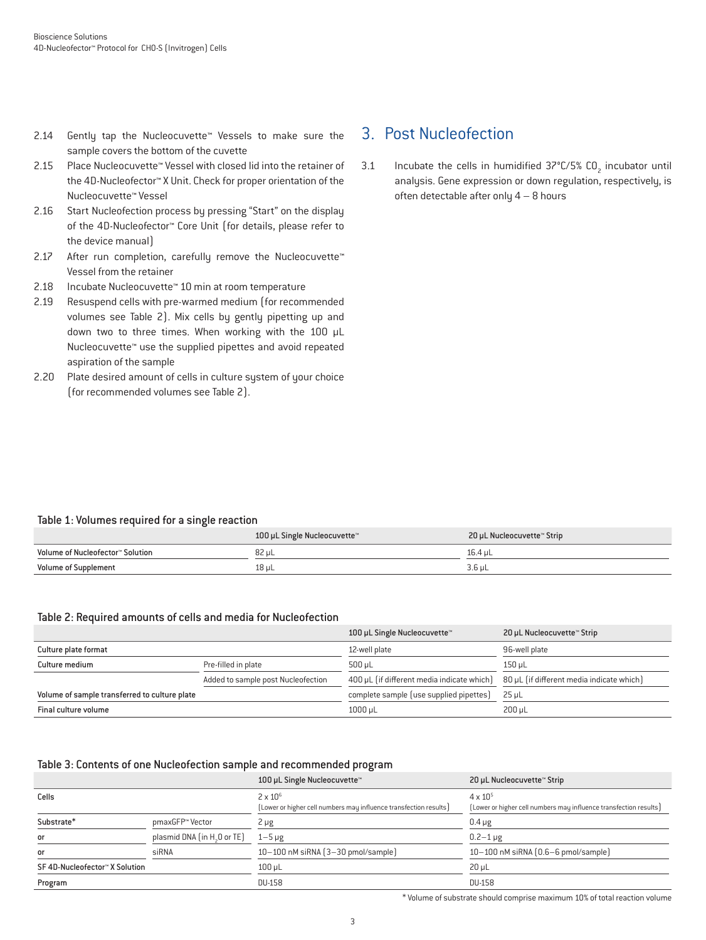- 2.14 Gently tap the Nucleocuvette™ Vessels to make sure the sample covers the bottom of the cuvette
- 2.15 Place Nucleocuvette™ Vessel with closed lid into the retainer of the 4D-Nucleofector™ X Unit. Check for proper orientation of the Nucleocuvette™ Vessel
- 2.16 Start Nucleofection process by pressing "Start" on the display of the 4D-Nucleofector™ Core Unit (for details, please refer to the device manual)
- 2.17 After run completion, carefully remove the Nucleocuvette™ Vessel from the retainer
- 2.18 Incubate Nucleocuvette™ 10 min at room temperature
- 2.19 Resuspend cells with pre-warmed medium (for recommended volumes see Table 2). Mix cells by gently pipetting up and down two to three times. When working with the 100 μL Nucleocuvette™ use the supplied pipettes and avoid repeated aspiration of the sample
- 2.20 Plate desired amount of cells in culture system of your choice (for recommended volumes see Table 2).

## 3. Post Nucleofection

3.1 Incubate the cells in humidified  $37^{\circ}$ C/5% CO<sub>2</sub> incubator until analysis. Gene expression or down regulation, respectively, is often detectable after only 4 – 8 hours

## Table 1: Volumes required for a single reaction

|                                  | 100 µL Single Nucleocuvette™ | 20 µL Nucleocuvette™ Strip |
|----------------------------------|------------------------------|----------------------------|
| Volume of Nucleofector™ Solution | 82 µL                        | 16.4 uL                    |
| <b>Volume of Supplement</b>      | 18 µL                        | 3.6 uL                     |

#### Table 2: Required amounts of cells and media for Nucleofection

|                                               |                                    | 100 µL Single Nucleocuvette™               | 20 µL Nucleocuvette™ Strip                |
|-----------------------------------------------|------------------------------------|--------------------------------------------|-------------------------------------------|
| Culture plate format                          |                                    | 12-well plate                              | 96-well plate                             |
| Culture medium                                | Pre-filled in plate                | $500 \mu L$                                | 150 uL                                    |
|                                               | Added to sample post Nucleofection | 400 µL (if different media indicate which) | 80 µL (if different media indicate which) |
| Volume of sample transferred to culture plate |                                    | complete sample (use supplied pipettes)    | $25 \mu L$                                |
| Final culture volume                          |                                    | $1000 \mu L$                               | 200 uL                                    |

## Table 3: Contents of one Nucleofection sample and recommended program

|                               |                                         | 100 µL Single Nucleocuvette™                                                         | 20 µL Nucleocuvette™ Strip                                                             |
|-------------------------------|-----------------------------------------|--------------------------------------------------------------------------------------|----------------------------------------------------------------------------------------|
| Cells                         |                                         | $2 \times 10^6$<br>(Lower or higher cell numbers may influence transfection results) | $4 \times 10^{5}$<br>[Lower or higher cell numbers may influence transfection results] |
| Substrate*                    | pmaxGFP™ Vector                         | 2 µg                                                                                 | $0.4 \mu g$                                                                            |
| or                            | plasmid DNA (in H <sub>2</sub> O or TE) | $1 - 5 \mu g$                                                                        | $0.2 - 1 \mu$ g                                                                        |
| <b>or</b>                     | siRNA                                   | $10-100$ nM siRNA $(3-30$ pmol/sample)                                               | 10-100 nM siRNA [0.6-6 pmol/sample]                                                    |
| SF4D-Nucleofector™ X Solution |                                         | $100$ $\mu$ L                                                                        | $20 \mu L$                                                                             |
| Program                       |                                         | DU-158                                                                               | <b>DU-158</b>                                                                          |

\* Volume of substrate should comprise maximum 10% of total reaction volume